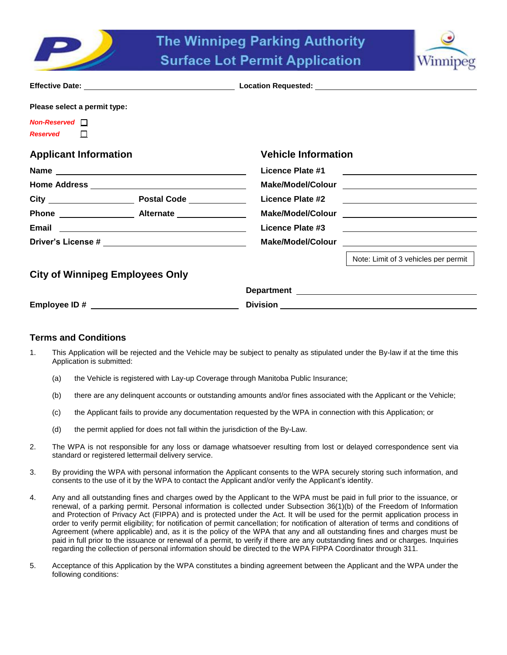



| Please select a permit type:           |                                                                                                                                           |  |  |
|----------------------------------------|-------------------------------------------------------------------------------------------------------------------------------------------|--|--|
| $Non\text{-}Reserved$                  |                                                                                                                                           |  |  |
| Reserved <b>N</b>                      |                                                                                                                                           |  |  |
| <b>Applicant Information</b>           | <b>Vehicle Information</b>                                                                                                                |  |  |
|                                        | Licence Plate #1<br><u> 1986 - Johann Stoff, fransk konge og det forskellige og det forskellige og det forskellige og det forskellige</u> |  |  |
|                                        |                                                                                                                                           |  |  |
|                                        |                                                                                                                                           |  |  |
|                                        |                                                                                                                                           |  |  |
|                                        | <b>Licence Plate #3</b><br><u> 2002 - John Stone, Amerikaansk politiker (</u>                                                             |  |  |
|                                        |                                                                                                                                           |  |  |
|                                        | Note: Limit of 3 vehicles per permit                                                                                                      |  |  |
| <b>City of Winnipeg Employees Only</b> |                                                                                                                                           |  |  |
|                                        |                                                                                                                                           |  |  |
| Employee ID#                           | <b>Division</b>                                                                                                                           |  |  |

# **Terms and Conditions**

- 1. This Application will be rejected and the Vehicle may be subject to penalty as stipulated under the By-law if at the time this Application is submitted:
	- (a) the Vehicle is registered with Lay-up Coverage through Manitoba Public Insurance;
	- (b) there are any delinquent accounts or outstanding amounts and/or fines associated with the Applicant or the Vehicle;
	- (c) the Applicant fails to provide any documentation requested by the WPA in connection with this Application; or
	- (d) the permit applied for does not fall within the jurisdiction of the By-Law.
- 2. The WPA is not responsible for any loss or damage whatsoever resulting from lost or delayed correspondence sent via standard or registered lettermail delivery service.
- 3. By providing the WPA with personal information the Applicant consents to the WPA securely storing such information, and consents to the use of it by the WPA to contact the Applicant and/or verify the Applicant's identity.
- 4. Any and all outstanding fines and charges owed by the Applicant to the WPA must be paid in full prior to the issuance, or renewal, of a parking permit. Personal information is collected under Subsection 36(1)(b) of the Freedom of Information and Protection of Privacy Act (FIPPA) and is protected under the Act. It will be used for the permit application process in order to verify permit eligibility; for notification of permit cancellation; for notification of alteration of terms and conditions of Agreement (where applicable) and, as it is the policy of the WPA that any and all outstanding fines and charges must be paid in full prior to the issuance or renewal of a permit, to verify if there are any outstanding fines and or charges. Inquiries regarding the collection of personal information should be directed to the WPA FIPPA Coordinator through 311.
- 5. Acceptance of this Application by the WPA constitutes a binding agreement between the Applicant and the WPA under the following conditions: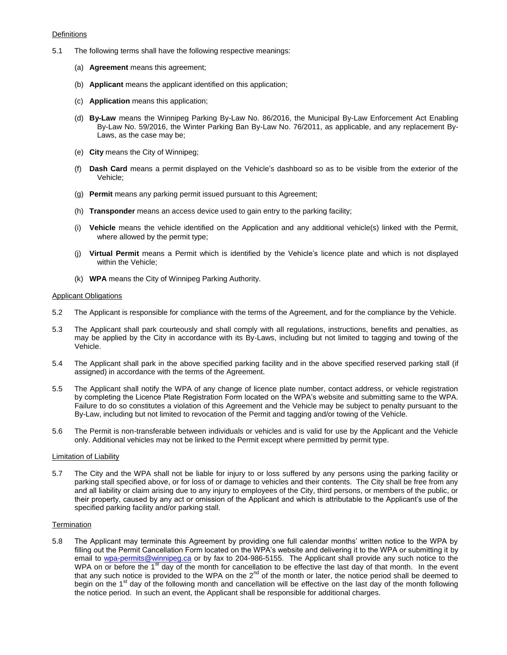### **Definitions**

- 5.1 The following terms shall have the following respective meanings:
	- (a) **Agreement** means this agreement;
	- (b) **Applicant** means the applicant identified on this application;
	- (c) **Application** means this application;
	- (d) **By-Law** means the Winnipeg Parking By-Law No. 86/2016, the Municipal By-Law Enforcement Act Enabling By-Law No. 59/2016, the Winter Parking Ban By-Law No. 76/2011, as applicable, and any replacement By-Laws, as the case may be;
	- (e) **City** means the City of Winnipeg;
	- (f) **Dash Card** means a permit displayed on the Vehicle's dashboard so as to be visible from the exterior of the Vehicle;
	- (g) **Permit** means any parking permit issued pursuant to this Agreement;
	- (h) **Transponder** means an access device used to gain entry to the parking facility;
	- (i) **Vehicle** means the vehicle identified on the Application and any additional vehicle(s) linked with the Permit, where allowed by the permit type;
	- (j) **Virtual Permit** means a Permit which is identified by the Vehicle's licence plate and which is not displayed within the Vehicle;
	- (k) **WPA** means the City of Winnipeg Parking Authority.

## Applicant Obligations

- 5.2 The Applicant is responsible for compliance with the terms of the Agreement, and for the compliance by the Vehicle.
- 5.3 The Applicant shall park courteously and shall comply with all regulations, instructions, benefits and penalties, as may be applied by the City in accordance with its By-Laws, including but not limited to tagging and towing of the Vehicle.
- 5.4 The Applicant shall park in the above specified parking facility and in the above specified reserved parking stall (if assigned) in accordance with the terms of the Agreement.
- 5.5 The Applicant shall notify the WPA of any change of licence plate number, contact address, or vehicle registration by completing the Licence Plate Registration Form located on the WPA's website and submitting same to the WPA. Failure to do so constitutes a violation of this Agreement and the Vehicle may be subject to penalty pursuant to the By-Law, including but not limited to revocation of the Permit and tagging and/or towing of the Vehicle.
- 5.6 The Permit is non-transferable between individuals or vehicles and is valid for use by the Applicant and the Vehicle only. Additional vehicles may not be linked to the Permit except where permitted by permit type.

### Limitation of Liability

5.7 The City and the WPA shall not be liable for injury to or loss suffered by any persons using the parking facility or parking stall specified above, or for loss of or damage to vehicles and their contents. The City shall be free from any and all liability or claim arising due to any injury to employees of the City, third persons, or members of the public, or their property, caused by any act or omission of the Applicant and which is attributable to the Applicant's use of the specified parking facility and/or parking stall.

# **Termination**

5.8 The Applicant may terminate this Agreement by providing one full calendar months' written notice to the WPA by filling out the Permit Cancellation Form located on the WPA's website and delivering it to the WPA or submitting it by email to [wpa-permits@winnipeg.ca](mailto:wpa-permits@winnipeg.ca) or by fax to 204-986-5155. The Applicant shall provide any such notice to the WPA on or before the 1<sup>st</sup> day of the month for cancellation to be effective the last day of that month. In the event that any such notice is provided to the WPA on the  $2^{nd}$  of the month or later, the notice period shall be deemed to begin on the 1<sup>st</sup> day of the following month and cancellation will be effective on the last day of the month following the notice period. In such an event, the Applicant shall be responsible for additional charges.